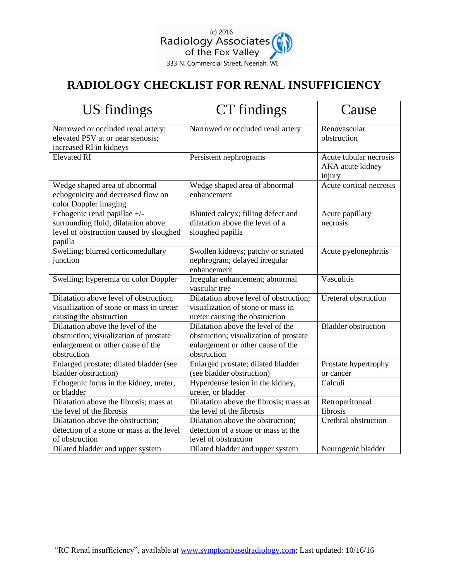

## **RADIOLOGY CHECKLIST FOR RENAL INSUFFICIENCY**

| <b>US</b> findings                                                                                                              | CT findings                                                                                                                     | Cause                                                |
|---------------------------------------------------------------------------------------------------------------------------------|---------------------------------------------------------------------------------------------------------------------------------|------------------------------------------------------|
| Narrowed or occluded renal artery;<br>elevated PSV at or near stenosis;<br>increased RI in kidneys                              | Narrowed or occluded renal artery                                                                                               | Renovascular<br>obstruction                          |
| <b>Elevated RI</b>                                                                                                              | Persistent nephrograms                                                                                                          | Acute tubular necrosis<br>AKA acute kidney<br>injury |
| Wedge shaped area of abnormal<br>echogenicity and decreased flow on<br>color Doppler imaging                                    | Wedge shaped area of abnormal<br>enhancement                                                                                    | Acute cortical necrosis                              |
| Echogenic renal papillae +/-<br>surrounding fluid; dilatation above<br>level of obstruction caused by sloughed<br>papilla       | Blunted calcyx; filling defect and<br>dilatation above the level of a<br>sloughed papilla                                       | Acute papillary<br>necrosis                          |
| Swelling; blurred corticomedullary<br>junction                                                                                  | Swollen kidneys; patchy or striated<br>nephrogram; delayed irregular<br>enhancement                                             | Acute pyelonephritis                                 |
| Swelling; hyperemia on color Doppler                                                                                            | Irregular enhancement; abnormal<br>vascular tree                                                                                | Vasculitis                                           |
| Dilatation above level of obstruction;<br>visualization of stone or mass in ureter<br>causing the obstruction                   | Dilatation above level of obstruction;<br>visualization of stone or mass in<br>ureter causing the obstruction                   | Ureteral obstruction                                 |
| Dilatation above the level of the<br>obstruction; visualization of prostate<br>enlargement or other cause of the<br>obstruction | Dilatation above the level of the<br>obstruction; visualization of prostate<br>enlargement or other cause of the<br>obstruction | <b>Bladder</b> obstruction                           |
| Enlarged prostate; dilated bladder (see<br>bladder obstruction)                                                                 | Enlarged prostate; dilated bladder<br>(see bladder obstruction)                                                                 | Prostate hypertrophy<br>or cancer                    |
| Echogenic focus in the kidney, ureter,<br>or bladder                                                                            | Hyperdense lesion in the kidney,<br>ureter, or bladder                                                                          | Calculi                                              |
| Dilatation above the fibrosis; mass at<br>the level of the fibrosis                                                             | Dilatation above the fibrosis; mass at<br>the level of the fibrosis                                                             | Retroperitoneal<br>fibrosis                          |
| Dilatation above the obstruction;<br>detection of a stone or mass at the level<br>of obstruction                                | Dilatation above the obstruction;<br>detection of a stone or mass at the<br>level of obstruction                                | Urethral obstruction                                 |
| Dilated bladder and upper system                                                                                                | Dilated bladder and upper system                                                                                                | Neurogenic bladder                                   |